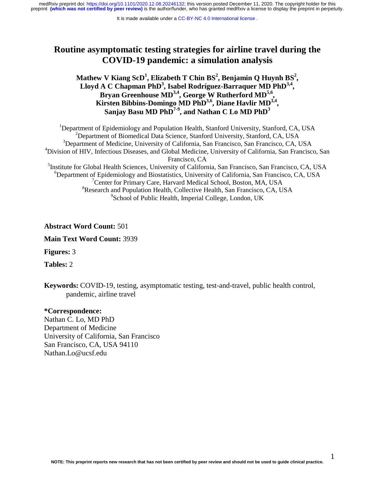# **Routine asymptomatic testing strategies for airline travel during the COVID-19 pandemic: a simulation analysis**

Mathew V Kiang ScD<sup>1</sup>, Elizabeth T Chin BS<sup>2</sup>, Benjamin Q Huynh BS<sup>2</sup>, Lloyd A C Chapman PhD<sup>3</sup>, Isabel Rodríguez-Barraquer MD PhD<sup>3,4</sup>, **Bryan Greenhouse MD3,4, George W Rutherford MD5,6, Kirsten Bibbins-Domingo MD PhD3,6, Diane Havlir MD3,4,**  Sanjay Basu MD PhD<sup>7-9</sup>, and Nathan C Lo MD PhD<sup>3</sup>

<sup>1</sup>Department of Epidemiology and Population Health, Stanford University, Stanford, CA, USA <sup>2</sup>Department of Biomedical Data Science, Stanford University, Stanford, CA, USA <sup>3</sup>Department of Medicine, University of California, San Francisco, San Francisco, CA, USA 4 Division of HIV, Infectious Diseases, and Global Medicine, University of California, San Francisco, San Francisco, CA 5 Institute for Global Health Sciences, University of California, San Francisco, San Francisco, CA, USA 6 Department of Epidemiology and Biostatistics, University of California, San Francisco, CA, USA <sup>7</sup> Center for Primary Care, Harvard Medical School, Boston, MA, USA <sup>8</sup>Research and Population Health, Collective Health, San Francisco, CA, USA <sup>9</sup> School of Public Health, Imperial College, London, UK

**Abstract Word Count:** 501

**Main Text Word Count:** 3939

**Figures:** 3

**Tables:** 2

**Keywords:** COVID-19, testing, asymptomatic testing, test-and-travel, public health control, pandemic, airline travel

#### **\*Correspondence:**

Nathan C. Lo, MD PhD Department of Medicine University of California, San Francisco San Francisco, CA, USA 94110 Nathan.Lo@ucsf.edu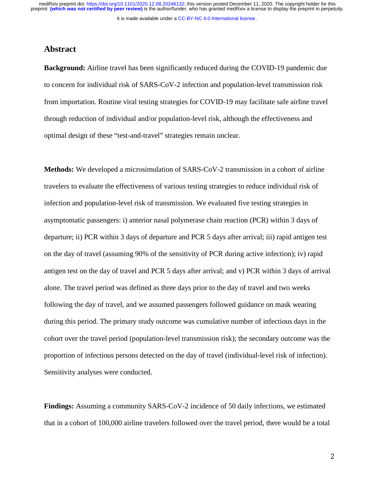It is made available under a [CC-BY-NC 4.0 International license](http://creativecommons.org/licenses/by-nc/4.0/) .

### **Abstract**

**Background:** Airline travel has been significantly reduced during the COVID-19 pandemic due to concern for individual risk of SARS-CoV-2 infection and population-level transmission risk from importation. Routine viral testing strategies for COVID-19 may facilitate safe airline travel through reduction of individual and/or population-level risk, although the effectiveness and optimal design of these "test-and-travel" strategies remain unclear.

**Methods:** We developed a microsimulation of SARS-CoV-2 transmission in a cohort of airline travelers to evaluate the effectiveness of various testing strategies to reduce individual risk of infection and population-level risk of transmission. We evaluated five testing strategies in asymptomatic passengers: i) anterior nasal polymerase chain reaction (PCR) within 3 days of departure; ii) PCR within 3 days of departure and PCR 5 days after arrival; iii) rapid antigen test on the day of travel (assuming 90% of the sensitivity of PCR during active infection); iv) rapid antigen test on the day of travel and PCR 5 days after arrival; and v) PCR within 3 days of arrival alone. The travel period was defined as three days prior to the day of travel and two weeks following the day of travel, and we assumed passengers followed guidance on mask wearing during this period. The primary study outcome was cumulative number of infectious days in the cohort over the travel period (population-level transmission risk); the secondary outcome was the proportion of infectious persons detected on the day of travel (individual-level risk of infection). Sensitivity analyses were conducted.

**Findings:** Assuming a community SARS-CoV-2 incidence of 50 daily infections, we estimated that in a cohort of 100,000 airline travelers followed over the travel period, there would be a total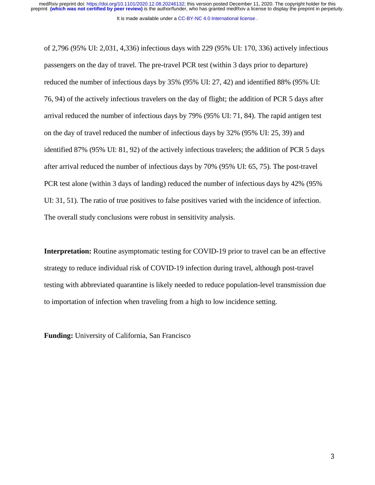of 2,796 (95% UI: 2,031, 4,336) infectious days with 229 (95% UI: 170, 336) actively infectious passengers on the day of travel. The pre-travel PCR test (within 3 days prior to departure) reduced the number of infectious days by 35% (95% UI: 27, 42) and identified 88% (95% UI: 76, 94) of the actively infectious travelers on the day of flight; the addition of PCR 5 days after arrival reduced the number of infectious days by 79% (95% UI: 71, 84). The rapid antigen test on the day of travel reduced the number of infectious days by 32% (95% UI: 25, 39) and identified 87% (95% UI: 81, 92) of the actively infectious travelers; the addition of PCR 5 days after arrival reduced the number of infectious days by 70% (95% UI: 65, 75). The post-travel PCR test alone (within 3 days of landing) reduced the number of infectious days by 42% (95% UI: 31, 51). The ratio of true positives to false positives varied with the incidence of infection. The overall study conclusions were robust in sensitivity analysis.

**Interpretation:** Routine asymptomatic testing for COVID-19 prior to travel can be an effective strategy to reduce individual risk of COVID-19 infection during travel, although post-travel testing with abbreviated quarantine is likely needed to reduce population-level transmission due to importation of infection when traveling from a high to low incidence setting.

**Funding:** University of California, San Francisco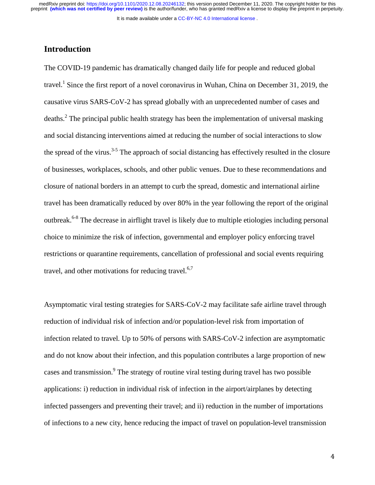It is made available under a [CC-BY-NC 4.0 International license](http://creativecommons.org/licenses/by-nc/4.0/) .

## **Introduction**

The COVID-19 pandemic has dramatically changed daily life for people and reduced global travel.<sup>1</sup> Since the first report of a novel coronavirus in Wuhan, China on December 31, 2019, the causative virus SARS-CoV-2 has spread globally with an unprecedented number of cases and deaths.<sup>2</sup> The principal public health strategy has been the implementation of universal masking and social distancing interventions aimed at reducing the number of social interactions to slow the spread of the virus.<sup>3-5</sup> The approach of social distancing has effectively resulted in the closure of businesses, workplaces, schools, and other public venues. Due to these recommendations and closure of national borders in an attempt to curb the spread, domestic and international airline travel has been dramatically reduced by over 80% in the year following the report of the original outbreak.6-8 The decrease in airflight travel is likely due to multiple etiologies including personal choice to minimize the risk of infection, governmental and employer policy enforcing travel restrictions or quarantine requirements, cancellation of professional and social events requiring travel, and other motivations for reducing travel. $6,7$ 

Asymptomatic viral testing strategies for SARS-CoV-2 may facilitate safe airline travel through reduction of individual risk of infection and/or population-level risk from importation of infection related to travel. Up to 50% of persons with SARS-CoV-2 infection are asymptomatic and do not know about their infection, and this population contributes a large proportion of new cases and transmission.<sup>9</sup> The strategy of routine viral testing during travel has two possible applications: i) reduction in individual risk of infection in the airport/airplanes by detecting infected passengers and preventing their travel; and ii) reduction in the number of importations of infections to a new city, hence reducing the impact of travel on population-level transmission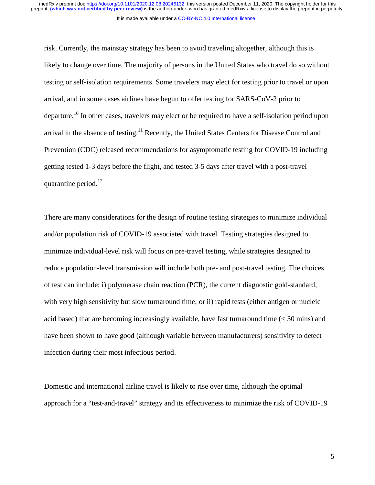#### It is made available under a [CC-BY-NC 4.0 International license](http://creativecommons.org/licenses/by-nc/4.0/) .

risk. Currently, the mainstay strategy has been to avoid traveling altogether, although this is likely to change over time. The majority of persons in the United States who travel do so without testing or self-isolation requirements. Some travelers may elect for testing prior to travel or upon arrival, and in some cases airlines have begun to offer testing for SARS-CoV-2 prior to departure.<sup>10</sup> In other cases, travelers may elect or be required to have a self-isolation period upon arrival in the absence of testing.<sup>11</sup> Recently, the United States Centers for Disease Control and Prevention (CDC) released recommendations for asymptomatic testing for COVID-19 including getting tested 1-3 days before the flight, and tested 3-5 days after travel with a post-travel quarantine period.<sup>12</sup>

There are many considerations for the design of routine testing strategies to minimize individual and/or population risk of COVID-19 associated with travel. Testing strategies designed to minimize individual-level risk will focus on pre-travel testing, while strategies designed to reduce population-level transmission will include both pre- and post-travel testing. The choices of test can include: i) polymerase chain reaction (PCR), the current diagnostic gold-standard, with very high sensitivity but slow turnaround time; or ii) rapid tests (either antigen or nucleic acid based) that are becoming increasingly available, have fast turnaround time  $( $30 \text{ mins}$ )$  and have been shown to have good (although variable between manufacturers) sensitivity to detect infection during their most infectious period.

Domestic and international airline travel is likely to rise over time, although the optimal approach for a "test-and-travel" strategy and its effectiveness to minimize the risk of COVID-19

5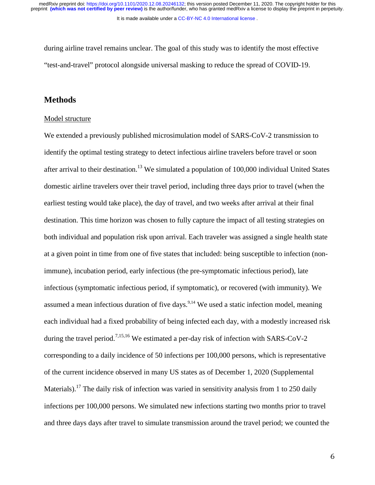It is made available under a [CC-BY-NC 4.0 International license](http://creativecommons.org/licenses/by-nc/4.0/) .

during airline travel remains unclear. The goal of this study was to identify the most effective "test-and-travel" protocol alongside universal masking to reduce the spread of COVID-19.

### **Methods**

#### Model structure

We extended a previously published microsimulation model of SARS-CoV-2 transmission to identify the optimal testing strategy to detect infectious airline travelers before travel or soon after arrival to their destination.<sup>13</sup> We simulated a population of  $100,000$  individual United States domestic airline travelers over their travel period, including three days prior to travel (when the earliest testing would take place), the day of travel, and two weeks after arrival at their final destination. This time horizon was chosen to fully capture the impact of all testing strategies on both individual and population risk upon arrival. Each traveler was assigned a single health state at a given point in time from one of five states that included: being susceptible to infection (nonimmune), incubation period, early infectious (the pre-symptomatic infectious period), late infectious (symptomatic infectious period, if symptomatic), or recovered (with immunity). We assumed a mean infectious duration of five days.<sup>9,14</sup> We used a static infection model, meaning each individual had a fixed probability of being infected each day, with a modestly increased risk during the travel period.<sup>7,15,16</sup> We estimated a per-day risk of infection with SARS-CoV-2 corresponding to a daily incidence of 50 infections per 100,000 persons, which is representative of the current incidence observed in many US states as of December 1, 2020 (Supplemental Materials).<sup>17</sup> The daily risk of infection was varied in sensitivity analysis from 1 to 250 daily infections per 100,000 persons. We simulated new infections starting two months prior to travel and three days days after travel to simulate transmission around the travel period; we counted the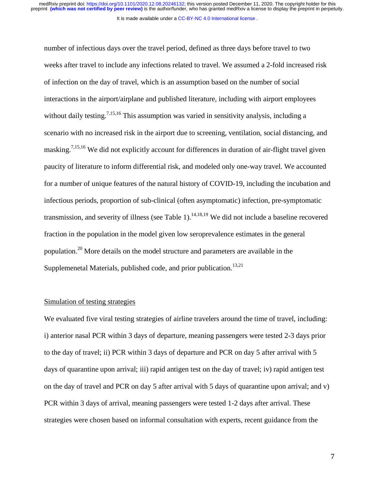number of infectious days over the travel period, defined as three days before travel to two weeks after travel to include any infections related to travel. We assumed a 2-fold increased risk of infection on the day of travel, which is an assumption based on the number of social interactions in the airport/airplane and published literature, including with airport employees without daily testing.<sup>7,15,16</sup> This assumption was varied in sensitivity analysis, including a scenario with no increased risk in the airport due to screening, ventilation, social distancing, and masking.<sup>7,15,16</sup> We did not explicitly account for differences in duration of air-flight travel given paucity of literature to inform differential risk, and modeled only one-way travel. We accounted for a number of unique features of the natural history of COVID-19, including the incubation and infectious periods, proportion of sub-clinical (often asymptomatic) infection, pre-symptomatic transmission, and severity of illness (see Table 1).<sup>14,18,19</sup> We did not include a baseline recovered fraction in the population in the model given low seroprevalence estimates in the general population.20 More details on the model structure and parameters are available in the Supplemenetal Materials, published code, and prior publication.<sup>13,21</sup>

#### Simulation of testing strategies

We evaluated five viral testing strategies of airline travelers around the time of travel, including: i) anterior nasal PCR within 3 days of departure, meaning passengers were tested 2-3 days prior to the day of travel; ii) PCR within 3 days of departure and PCR on day 5 after arrival with 5 days of quarantine upon arrival; iii) rapid antigen test on the day of travel; iv) rapid antigen test on the day of travel and PCR on day 5 after arrival with 5 days of quarantine upon arrival; and v) PCR within 3 days of arrival, meaning passengers were tested 1-2 days after arrival. These strategies were chosen based on informal consultation with experts, recent guidance from the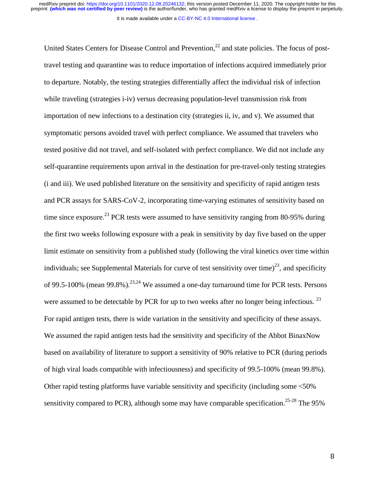It is made available under a CC-BY-NC 4.0 International license.

United States Centers for Disease Control and Prevention,  $^{22}$  and state policies. The focus of posttravel testing and quarantine was to reduce importation of infections acquired immediately prior to departure. Notably, the testing strategies differentially affect the individual risk of infection while traveling (strategies i-iv) versus decreasing population-level transmission risk from importation of new infections to a destination city (strategies ii, iv, and v). We assumed that symptomatic persons avoided travel with perfect compliance. We assumed that travelers who tested positive did not travel, and self-isolated with perfect compliance. We did not include any self-quarantine requirements upon arrival in the destination for pre-travel-only testing strategies (i and iii). We used published literature on the sensitivity and specificity of rapid antigen tests and PCR assays for SARS-CoV-2, incorporating time-varying estimates of sensitivity based on time since exposure.<sup>23</sup> PCR tests were assumed to have sensitivity ranging from 80-95% during the first two weeks following exposure with a peak in sensitivity by day five based on the upper limit estimate on sensitivity from a published study (following the viral kinetics over time within individuals; see Supplemental Materials for curve of test sensitivity over time)<sup>23</sup>, and specificity of 99.5-100% (mean 99.8%).<sup>23,24</sup> We assumed a one-day turnaround time for PCR tests. Persons were assumed to be detectable by PCR for up to two weeks after no longer being infectious.<sup>23</sup> For rapid antigen tests, there is wide variation in the sensitivity and specificity of these assays. We assumed the rapid antigen tests had the sensitivity and specificity of the Abbot BinaxNow based on availability of literature to support a sensitivity of 90% relative to PCR (during periods of high viral loads compatible with infectiousness) and specificity of 99.5-100% (mean 99.8%). Other rapid testing platforms have variable sensitivity and specificity (including some <50% sensitivity compared to PCR), although some may have comparable specification.<sup>25-28</sup> The 95%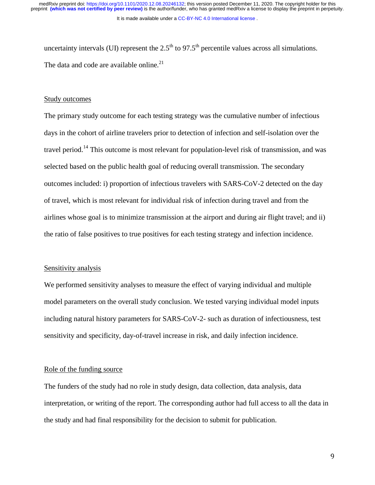It is made available under a [CC-BY-NC 4.0 International license](http://creativecommons.org/licenses/by-nc/4.0/) .

uncertainty intervals (UI) represent the  $2.5<sup>th</sup>$  to  $97.5<sup>th</sup>$  percentile values across all simulations. The data and code are available online.<sup>21</sup>

#### Study outcomes

The primary study outcome for each testing strategy was the cumulative number of infectious days in the cohort of airline travelers prior to detection of infection and self-isolation over the travel period.14 This outcome is most relevant for population-level risk of transmission, and was selected based on the public health goal of reducing overall transmission. The secondary outcomes included: i) proportion of infectious travelers with SARS-CoV-2 detected on the day of travel, which is most relevant for individual risk of infection during travel and from the airlines whose goal is to minimize transmission at the airport and during air flight travel; and ii) the ratio of false positives to true positives for each testing strategy and infection incidence.

#### Sensitivity analysis

We performed sensitivity analyses to measure the effect of varying individual and multiple model parameters on the overall study conclusion. We tested varying individual model inputs including natural history parameters for SARS-CoV-2- such as duration of infectiousness, test sensitivity and specificity, day-of-travel increase in risk, and daily infection incidence.

### Role of the funding source

The funders of the study had no role in study design, data collection, data analysis, data interpretation, or writing of the report. The corresponding author had full access to all the data in the study and had final responsibility for the decision to submit for publication.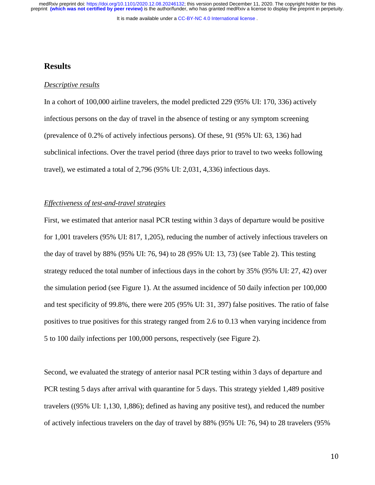It is made available under a [CC-BY-NC 4.0 International license](http://creativecommons.org/licenses/by-nc/4.0/) .

### **Results**

#### *Descriptive results*

In a cohort of 100,000 airline travelers, the model predicted 229 (95% UI: 170, 336) actively infectious persons on the day of travel in the absence of testing or any symptom screening (prevalence of 0.2% of actively infectious persons). Of these, 91 (95% UI: 63, 136) had subclinical infections. Over the travel period (three days prior to travel to two weeks following travel), we estimated a total of 2,796 (95% UI: 2,031, 4,336) infectious days.

### *Effectiveness of test-and-travel strategies*

First, we estimated that anterior nasal PCR testing within 3 days of departure would be positive for 1,001 travelers (95% UI: 817, 1,205), reducing the number of actively infectious travelers on the day of travel by 88% (95% UI: 76, 94) to 28 (95% UI: 13, 73) (see Table 2). This testing strategy reduced the total number of infectious days in the cohort by 35% (95% UI: 27, 42) over the simulation period (see Figure 1). At the assumed incidence of 50 daily infection per 100,000 and test specificity of 99.8%, there were 205 (95% UI: 31, 397) false positives. The ratio of false positives to true positives for this strategy ranged from 2.6 to 0.13 when varying incidence from 5 to 100 daily infections per 100,000 persons, respectively (see Figure 2).

Second, we evaluated the strategy of anterior nasal PCR testing within 3 days of departure and PCR testing 5 days after arrival with quarantine for 5 days. This strategy yielded 1,489 positive travelers ((95% UI: 1,130, 1,886); defined as having any positive test), and reduced the number of actively infectious travelers on the day of travel by 88% (95% UI: 76, 94) to 28 travelers (95%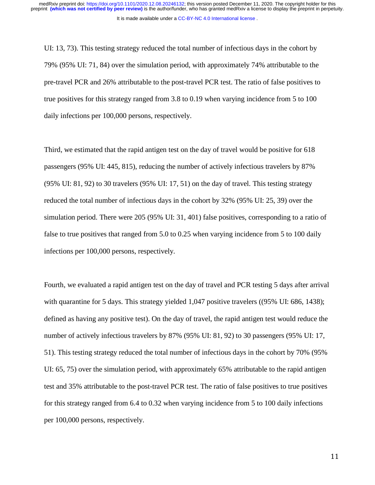It is made available under a [CC-BY-NC 4.0 International license](http://creativecommons.org/licenses/by-nc/4.0/) .

UI: 13, 73). This testing strategy reduced the total number of infectious days in the cohort by 79% (95% UI: 71, 84) over the simulation period, with approximately 74% attributable to the pre-travel PCR and 26% attributable to the post-travel PCR test. The ratio of false positives to true positives for this strategy ranged from 3.8 to 0.19 when varying incidence from 5 to 100 daily infections per 100,000 persons, respectively.

Third, we estimated that the rapid antigen test on the day of travel would be positive for 618 passengers (95% UI: 445, 815), reducing the number of actively infectious travelers by 87% (95% UI: 81, 92) to 30 travelers (95% UI: 17, 51) on the day of travel. This testing strategy reduced the total number of infectious days in the cohort by 32% (95% UI: 25, 39) over the simulation period. There were 205 (95% UI: 31, 401) false positives, corresponding to a ratio of false to true positives that ranged from 5.0 to 0.25 when varying incidence from 5 to 100 daily infections per 100,000 persons, respectively.

Fourth, we evaluated a rapid antigen test on the day of travel and PCR testing 5 days after arrival with quarantine for 5 days. This strategy yielded 1,047 positive travelers ((95% UI: 686, 1438); defined as having any positive test). On the day of travel, the rapid antigen test would reduce the number of actively infectious travelers by 87% (95% UI: 81, 92) to 30 passengers (95% UI: 17, 51). This testing strategy reduced the total number of infectious days in the cohort by 70% (95% UI: 65, 75) over the simulation period, with approximately 65% attributable to the rapid antigen test and 35% attributable to the post-travel PCR test. The ratio of false positives to true positives for this strategy ranged from 6.4 to 0.32 when varying incidence from 5 to 100 daily infections per 100,000 persons, respectively.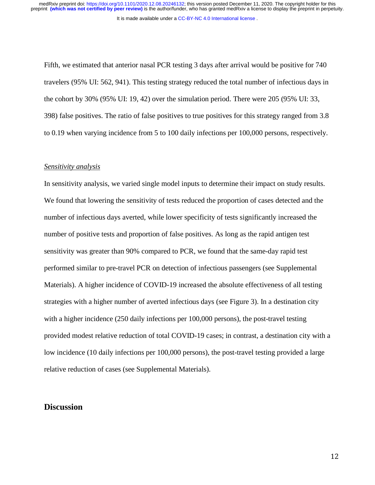Fifth, we estimated that anterior nasal PCR testing 3 days after arrival would be positive for 740 travelers (95% UI: 562, 941). This testing strategy reduced the total number of infectious days in the cohort by 30% (95% UI: 19, 42) over the simulation period. There were 205 (95% UI: 33, 398) false positives. The ratio of false positives to true positives for this strategy ranged from 3.8 to 0.19 when varying incidence from 5 to 100 daily infections per 100,000 persons, respectively.

#### *Sensitivity analysis*

In sensitivity analysis, we varied single model inputs to determine their impact on study results. We found that lowering the sensitivity of tests reduced the proportion of cases detected and the number of infectious days averted, while lower specificity of tests significantly increased the number of positive tests and proportion of false positives. As long as the rapid antigen test sensitivity was greater than 90% compared to PCR, we found that the same-day rapid test performed similar to pre-travel PCR on detection of infectious passengers (see Supplemental Materials). A higher incidence of COVID-19 increased the absolute effectiveness of all testing strategies with a higher number of averted infectious days (see Figure 3). In a destination city with a higher incidence (250 daily infections per 100,000 persons), the post-travel testing provided modest relative reduction of total COVID-19 cases; in contrast, a destination city with a low incidence (10 daily infections per 100,000 persons), the post-travel testing provided a large relative reduction of cases (see Supplemental Materials).

### **Discussion**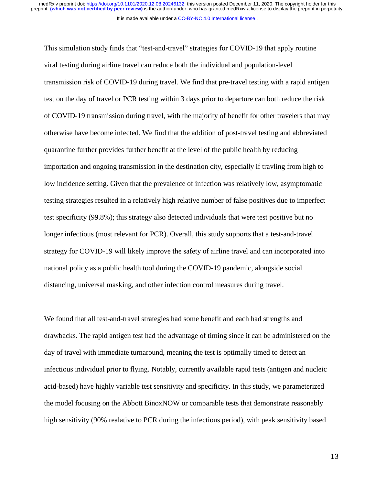This simulation study finds that "test-and-travel" strategies for COVID-19 that apply routine viral testing during airline travel can reduce both the individual and population-level transmission risk of COVID-19 during travel. We find that pre-travel testing with a rapid antigen test on the day of travel or PCR testing within 3 days prior to departure can both reduce the risk of COVID-19 transmission during travel, with the majority of benefit for other travelers that may otherwise have become infected. We find that the addition of post-travel testing and abbreviated quarantine further provides further benefit at the level of the public health by reducing importation and ongoing transmission in the destination city, especially if travling from high to low incidence setting. Given that the prevalence of infection was relatively low, asymptomatic testing strategies resulted in a relatively high relative number of false positives due to imperfect test specificity (99.8%); this strategy also detected individuals that were test positive but no longer infectious (most relevant for PCR). Overall, this study supports that a test-and-travel strategy for COVID-19 will likely improve the safety of airline travel and can incorporated into national policy as a public health tool during the COVID-19 pandemic, alongside social distancing, universal masking, and other infection control measures during travel.

We found that all test-and-travel strategies had some benefit and each had strengths and drawbacks. The rapid antigen test had the advantage of timing since it can be administered on the day of travel with immediate turnaround, meaning the test is optimally timed to detect an infectious individual prior to flying. Notably, currently available rapid tests (antigen and nucleic acid-based) have highly variable test sensitivity and specificity. In this study, we parameterized the model focusing on the Abbott BinoxNOW or comparable tests that demonstrate reasonably high sensitivity (90% realative to PCR during the infectious period), with peak sensitivity based

n de la construcción de la construcción de la construcción de la construcción de la construcción de la constru<br>13 de junho de la construcción de la construcción de la construcción de la construcción de la construcción de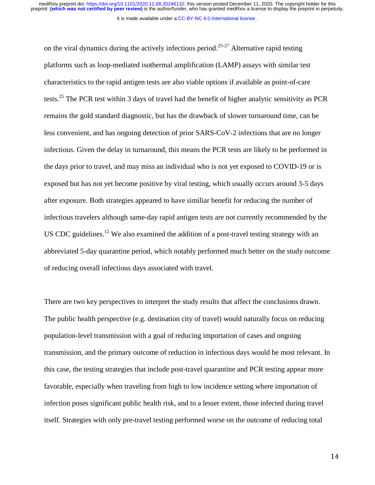on the viral dynamics during the actively infectious period.<sup>25-27</sup> Alternative rapid testing platforms such as loop-mediated isothermal amplification (LAMP) assays with similar test characteristics to the rapid antigen tests are also viable options if available as point-of-care tests.<sup>25</sup> The PCR test within 3 days of travel had the benefit of higher analytic sensitivity as PCR remains the gold standard diagnostic, but has the drawback of slower turnaround time, can be less convenient, and has ongoing detection of prior SARS-CoV-2 infections that are no longer infectious. Given the delay in turnaround, this means the PCR tests are likely to be performed in the days prior to travel, and may miss an individual who is not yet exposed to COVID-19 or is exposed but has not yet become positive by viral testing, which usually occurs around 3-5 days after exposure. Both strategies appeared to have similiar benefit for reducing the number of infectious travelers although same-day rapid antigen tests are not currently recommended by the US CDC guidelines.<sup>12</sup> We also examined the addition of a post-travel testing strategy with an abbreviated 5-day quarantine period, which notably performed much better on the study outcome of reducing overall infectious days associated with travel.

There are two key perspectives to interpret the study results that affect the conclusions drawn. The public health perspective (e.g. destination city of travel) would naturally focus on reducing population-level transmission with a goal of reducing importation of cases and ongoing transmission, and the primary outcome of reduction in infectious days would be most relevant. In this case, the testing strategies that include post-travel quarantine and PCR testing appear more favorable, especially when traveling from high to low incidence setting where importation of infection poses significant public health risk, and to a lesser extent, those infected during travel itself. Strategies with only pre-travel testing performed worse on the outcome of reducing total

14 de junho de 1944 e 1944 e 1944 e 1944 e 1944 e 1944 e 1944 e 1944 e 1944 e 1944 e 1944 e 1944 e 1944 e 194<br>14 de junho de 1944 e 1944 e 1944 e 1944 e 1944 e 1944 e 1944 e 1944 e 1944 e 1944 e 1944 e 1944 e 1944 e 194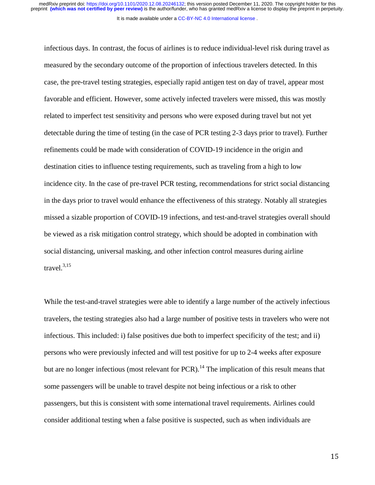infectious days. In contrast, the focus of airlines is to reduce individual-level risk during travel as measured by the secondary outcome of the proportion of infectious travelers detected. In this case, the pre-travel testing strategies, especially rapid antigen test on day of travel, appear most favorable and efficient. However, some actively infected travelers were missed, this was mostly related to imperfect test sensitivity and persons who were exposed during travel but not yet detectable during the time of testing (in the case of PCR testing 2-3 days prior to travel). Further refinements could be made with consideration of COVID-19 incidence in the origin and destination cities to influence testing requirements, such as traveling from a high to low incidence city. In the case of pre-travel PCR testing, recommendations for strict social distancing in the days prior to travel would enhance the effectiveness of this strategy. Notably all strategies missed a sizable proportion of COVID-19 infections, and test-and-travel strategies overall should be viewed as a risk mitigation control strategy, which should be adopted in combination with social distancing, universal masking, and other infection control measures during airline travel.<sup>3,15</sup>

While the test-and-travel strategies were able to identify a large number of the actively infectious travelers, the testing strategies also had a large number of positive tests in travelers who were not infectious. This included: i) false positives due both to imperfect specificity of the test; and ii) persons who were previously infected and will test positive for up to 2-4 weeks after exposure but are no longer infectious (most relevant for PCR).<sup>14</sup> The implication of this result means that some passengers will be unable to travel despite not being infectious or a risk to other passengers, but this is consistent with some international travel requirements. Airlines could consider additional testing when a false positive is suspected, such as when individuals are

n de la construcción de la construcción de la construcción de la construcción de la construcción de la constru<br>15 de junho de la construcción de la construcción de la construcción de la construcción de la construcción de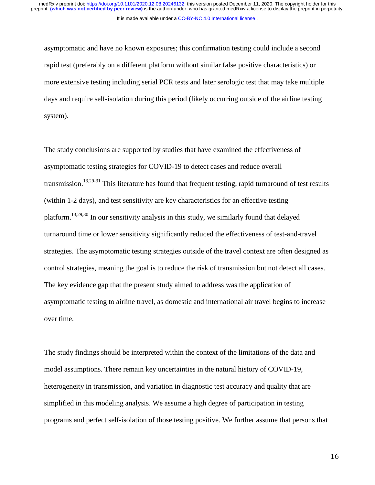It is made available under a CC-BY-NC 4.0 International license.

asymptomatic and have no known exposures; this confirmation testing could include a second rapid test (preferably on a different platform without similar false positive characteristics) or more extensive testing including serial PCR tests and later serologic test that may take multiple days and require self-isolation during this period (likely occurring outside of the airline testing system).

The study conclusions are supported by studies that have examined the effectiveness of asymptomatic testing strategies for COVID-19 to detect cases and reduce overall transmission.<sup>13,29-31</sup> This literature has found that frequent testing, rapid turnaround of test results (within 1-2 days), and test sensitivity are key characteristics for an effective testing platform.13,29,30 In our sensitivity analysis in this study, we similarly found that delayed turnaround time or lower sensitivity significantly reduced the effectiveness of test-and-travel strategies. The asymptomatic testing strategies outside of the travel context are often designed as control strategies, meaning the goal is to reduce the risk of transmission but not detect all cases. The key evidence gap that the present study aimed to address was the application of asymptomatic testing to airline travel, as domestic and international air travel begins to increase over time.

The study findings should be interpreted within the context of the limitations of the data and model assumptions. There remain key uncertainties in the natural history of COVID-19, heterogeneity in transmission, and variation in diagnostic test accuracy and quality that are simplified in this modeling analysis. We assume a high degree of participation in testing programs and perfect self-isolation of those testing positive. We further assume that persons that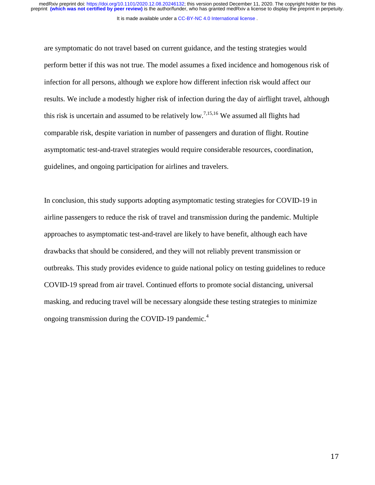It is made available under a CC-BY-NC 4.0 International license.

are symptomatic do not travel based on current guidance, and the testing strategies would perform better if this was not true. The model assumes a fixed incidence and homogenous risk of infection for all persons, although we explore how different infection risk would affect our results. We include a modestly higher risk of infection during the day of airflight travel, although this risk is uncertain and assumed to be relatively low.<sup>7,15,16</sup> We assumed all flights had comparable risk, despite variation in number of passengers and duration of flight. Routine asymptomatic test-and-travel strategies would require considerable resources, coordination, guidelines, and ongoing participation for airlines and travelers.

In conclusion, this study supports adopting asymptomatic testing strategies for COVID-19 in airline passengers to reduce the risk of travel and transmission during the pandemic. Multiple approaches to asymptomatic test-and-travel are likely to have benefit, although each have drawbacks that should be considered, and they will not reliably prevent transmission or outbreaks. This study provides evidence to guide national policy on testing guidelines to reduce COVID-19 spread from air travel. Continued efforts to promote social distancing, universal masking, and reducing travel will be necessary alongside these testing strategies to minimize ongoing transmission during the COVID-19 pandemic.<sup>4</sup>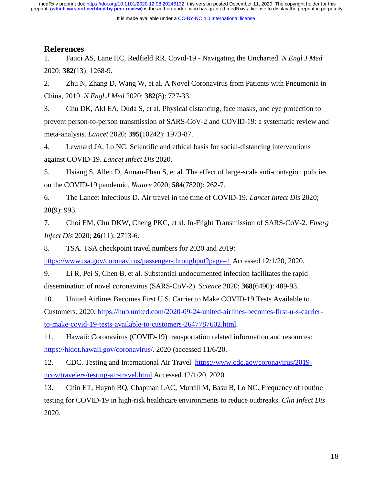It is made available under a [CC-BY-NC 4.0 International license](http://creativecommons.org/licenses/by-nc/4.0/) .

### **References**

1. Fauci AS, Lane HC, Redfield RR. Covid-19 - Navigating the Uncharted. *N Engl J Med* 2020; **382**(13): 1268-9.

2. Zhu N, Zhang D, Wang W, et al. A Novel Coronavirus from Patients with Pneumonia in China, 2019. *N Engl J Med* 2020; **382**(8): 727-33.

3. Chu DK, Akl EA, Duda S, et al. Physical distancing, face masks, and eye protection to prevent person-to-person transmission of SARS-CoV-2 and COVID-19: a systematic review and meta-analysis. *Lancet* 2020; **395**(10242): 1973-87.

4. Lewnard JA, Lo NC. Scientific and ethical basis for social-distancing interventions against COVID-19. *Lancet Infect Dis* 2020.

5. Hsiang S, Allen D, Annan-Phan S, et al. The effect of large-scale anti-contagion policies on the COVID-19 pandemic. *Nature* 2020; **584**(7820): 262-7.

6. The Lancet Infectious D. Air travel in the time of COVID-19. *Lancet Infect Dis* 2020; **20**(9): 993.

7. Choi EM, Chu DKW, Cheng PKC, et al. In-Flight Transmission of SARS-CoV-2. *Emerg Infect Dis* 2020; **26**(11): 2713-6.

8. TSA. TSA checkpoint travel numbers for 2020 and 2019:

https://www.tsa.gov/coronavirus/passenger-throughput?page=1 Accessed 12/1/20, 2020.

9. Li R, Pei S, Chen B, et al. Substantial undocumented infection facilitates the rapid dissemination of novel coronavirus (SARS-CoV-2). *Science* 2020; **368**(6490): 489-93.

10. United Airlines Becomes First U.S. Carrier to Make COVID-19 Tests Available to Customers. 2020. https://hub.united.com/2020-09-24-united-airlines-becomes-first-u-s-carrierto-make-covid-19-tests-available-to-customers-2647787602.html.

11. Hawaii: Coronavirus (COVID-19) transportation related information and resources: https://hidot.hawaii.gov/coronavirus/. 2020 (accessed 11/6/20.

12. CDC. Testing and International Air Travel https://www.cdc.gov/coronavirus/2019 ncov/travelers/testing-air-travel.html Accessed 12/1/20, 2020.

13. Chin ET, Huynh BQ, Chapman LAC, Murrill M, Basu B, Lo NC. Frequency of routine testing for COVID-19 in high-risk healthcare environments to reduce outbreaks. *Clin Infect Dis* 2020.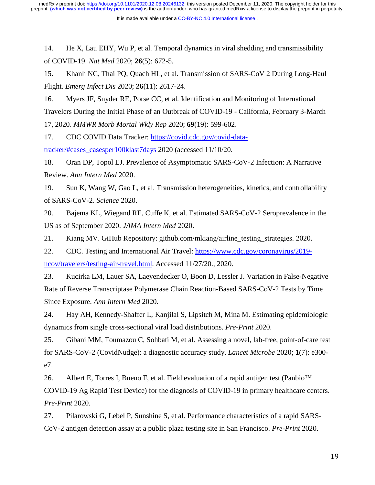14. He X, Lau EHY, Wu P, et al. Temporal dynamics in viral shedding and transmissibility of COVID-19. *Nat Med* 2020; **26**(5): 672-5.

15. Khanh NC, Thai PQ, Quach HL, et al. Transmission of SARS-CoV 2 During Long-Haul Flight. *Emerg Infect Dis* 2020; **26**(11): 2617-24.

16. Myers JF, Snyder RE, Porse CC, et al. Identification and Monitoring of International Travelers During the Initial Phase of an Outbreak of COVID-19 - California, February 3-March 17, 2020. *MMWR Morb Mortal Wkly Rep* 2020; **69**(19): 599-602.

17. CDC COVID Data Tracker: https://covid.cdc.gov/covid-datatracker/#cases\_casesper100klast7days 2020 (accessed 11/10/20.

18. Oran DP, Topol EJ. Prevalence of Asymptomatic SARS-CoV-2 Infection: A Narrative Review. *Ann Intern Med* 2020.

19. Sun K, Wang W, Gao L, et al. Transmission heterogeneities, kinetics, and controllability of SARS-CoV-2. *Science* 2020.

20. Bajema KL, Wiegand RE, Cuffe K, et al. Estimated SARS-CoV-2 Seroprevalence in the US as of September 2020. *JAMA Intern Med* 2020.

21. Kiang MV. GiHub Repository: github.com/mkiang/airline\_testing\_strategies. 2020.

22. CDC. Testing and International Air Travel: https://www.cdc.gov/coronavirus/2019 ncov/travelers/testing-air-travel.html. Accessed 11/27/20., 2020.

23. Kucirka LM, Lauer SA, Laeyendecker O, Boon D, Lessler J. Variation in False-Negative Rate of Reverse Transcriptase Polymerase Chain Reaction-Based SARS-CoV-2 Tests by Time Since Exposure. *Ann Intern Med* 2020.

24. Hay AH, Kennedy-Shaffer L, Kanjilal S, Lipsitch M, Mina M. Estimating epidemiologic dynamics from single cross-sectional viral load distributions. *Pre-Print* 2020.

25. Gibani MM, Toumazou C, Sohbati M, et al. Assessing a novel, lab-free, point-of-care test for SARS-CoV-2 (CovidNudge): a diagnostic accuracy study. *Lancet Microbe* 2020; **1**(7): e300 e7.

26. Albert E, Torres I, Bueno F, et al. Field evaluation of a rapid antigen test (Panbio<sup>TM</sup> COVID-19 Ag Rapid Test Device) for the diagnosis of COVID-19 in primary healthcare centers. *Pre-Print* 2020.

27. Pilarowski G, Lebel P, Sunshine S, et al. Performance characteristics of a rapid SARS-CoV-2 antigen detection assay at a public plaza testing site in San Francisco. *Pre-Print* 2020.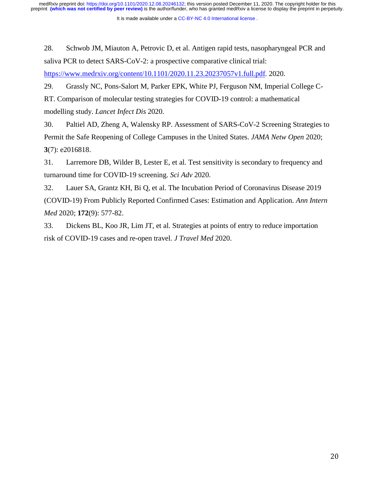It is made available under a [CC-BY-NC 4.0 International license](http://creativecommons.org/licenses/by-nc/4.0/) .

28. Schwob JM, Miauton A, Petrovic D, et al. Antigen rapid tests, nasopharyngeal PCR and saliva PCR to detect SARS-CoV-2: a prospective comparative clinical trial: https://www.medrxiv.org/content/10.1101/2020.11.23.20237057v1.full.pdf. 2020.

29. Grassly NC, Pons-Salort M, Parker EPK, White PJ, Ferguson NM, Imperial College C-RT. Comparison of molecular testing strategies for COVID-19 control: a mathematical modelling study. *Lancet Infect Dis* 2020.

30. Paltiel AD, Zheng A, Walensky RP. Assessment of SARS-CoV-2 Screening Strategies to Permit the Safe Reopening of College Campuses in the United States. *JAMA Netw Open* 2020; **3**(7): e2016818.

31. Larremore DB, Wilder B, Lester E, et al. Test sensitivity is secondary to frequency and turnaround time for COVID-19 screening. *Sci Adv* 2020.

32. Lauer SA, Grantz KH, Bi Q, et al. The Incubation Period of Coronavirus Disease 2019 (COVID-19) From Publicly Reported Confirmed Cases: Estimation and Application. *Ann Intern Med* 2020; **172**(9): 577-82.

33. Dickens BL, Koo JR, Lim JT, et al. Strategies at points of entry to reduce importation risk of COVID-19 cases and re-open travel. *J Travel Med* 2020.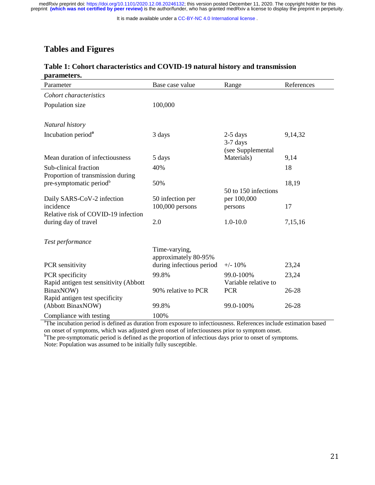It is made available under a [CC-BY-NC 4.0 International license](http://creativecommons.org/licenses/by-nc/4.0/) .

# **Tables and Figures**

### **Table 1: Cohort characteristics and COVID-19 natural history and transmission parameters.**

| Parameter                              | Base case value                       | Range                    | References |
|----------------------------------------|---------------------------------------|--------------------------|------------|
| Cohort characteristics                 |                                       |                          |            |
| Population size                        | 100,000                               |                          |            |
|                                        |                                       |                          |            |
| Natural history                        |                                       |                          |            |
| Incubation period <sup>a</sup>         | 3 days                                | $2-5$ days<br>$3-7$ days | 9,14,32    |
|                                        |                                       | (see Supplemental        |            |
| Mean duration of infectiousness        | 5 days                                | Materials)               | 9,14       |
| Sub-clinical fraction                  | 40%                                   |                          | 18         |
| Proportion of transmission during      |                                       |                          |            |
| pre-symptomatic period <sup>b</sup>    | 50%                                   | 50 to 150 infections     | 18,19      |
| Daily SARS-CoV-2 infection             | 50 infection per                      | per 100,000              |            |
| incidence                              | $100,000$ persons                     | persons                  | 17         |
| Relative risk of COVID-19 infection    |                                       |                          |            |
| during day of travel                   | 2.0                                   | $1.0 - 10.0$             | 7,15,16    |
|                                        |                                       |                          |            |
| Test performance                       |                                       |                          |            |
|                                        | Time-varying,<br>approximately 80-95% |                          |            |
| PCR sensitivity                        | during infectious period              | $+/- 10\%$               | 23,24      |
| PCR specificity                        | 99.8%                                 | 99.0-100%                | 23,24      |
| Rapid antigen test sensitivity (Abbott |                                       | Variable relative to     |            |
| BinaxNOW)                              | 90% relative to PCR                   | <b>PCR</b>               | 26-28      |
| Rapid antigen test specificity         |                                       |                          |            |
| (Abbott BinaxNOW)                      | 99.8%                                 | 99.0-100%                | 26-28      |
| Compliance with testing                | 100%                                  |                          |            |

Compliance with testing 100%<br>
<sup>a</sup>The incubation period is defined as duration from exposure to infectiousness. References include estimation based on onset of symptoms, which was adjusted given onset of infectiousness prior to symptom onset.

<sup>b</sup>The pre-symptomatic period is defined as the proportion of infectious days prior to onset of symptoms.

Note: Population was assumed to be initially fully susceptible.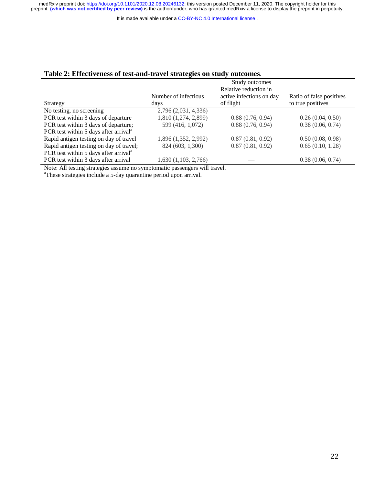It is made available under a [CC-BY-NC 4.0 International license](http://creativecommons.org/licenses/by-nc/4.0/) .

### **Table 2: Effectiveness of test-and-travel strategies on study outcomes**.

|                                                                           | Study outcomes<br>Relative reduction in |                                       |                                               |  |  |
|---------------------------------------------------------------------------|-----------------------------------------|---------------------------------------|-----------------------------------------------|--|--|
| Strategy                                                                  | Number of infectious<br>days            | active infections on day<br>of flight | Ratio of false positives<br>to true positives |  |  |
| No testing, no screening                                                  | 2,796 (2,031, 4,336)                    |                                       |                                               |  |  |
| PCR test within 3 days of departure                                       | 1,810 (1,274, 2,899)                    | 0.88(0.76, 0.94)                      | 0.26(0.04, 0.50)                              |  |  |
| PCR test within 3 days of departure;                                      | 599 (416, 1,072)                        | 0.88(0.76, 0.94)                      | 0.38(0.06, 0.74)                              |  |  |
| PCR test within 5 days after arrival <sup>a</sup>                         |                                         |                                       |                                               |  |  |
| Rapid antigen testing on day of travel                                    | 1,896 (1,352, 2,992)                    | 0.87(0.81, 0.92)                      | 0.50(0.08, 0.98)                              |  |  |
| Rapid antigen testing on day of travel;                                   | 824 (603, 1,300)                        | 0.87(0.81, 0.92)                      | 0.65(0.10, 1.28)                              |  |  |
| PCR test within 5 days after arrival <sup>a</sup>                         |                                         |                                       |                                               |  |  |
| PCR test within 3 days after arrival                                      | $1,630$ $(1,103, 2,766)$                |                                       | 0.38(0.06, 0.74)                              |  |  |
| Note: All testing strategies assume no symptomatic passengers will travel |                                         |                                       |                                               |  |  |

Note: All testing strategies assume no symptomatic passengers will travel. a These strategies include a 5-day quarantine period upon arrival.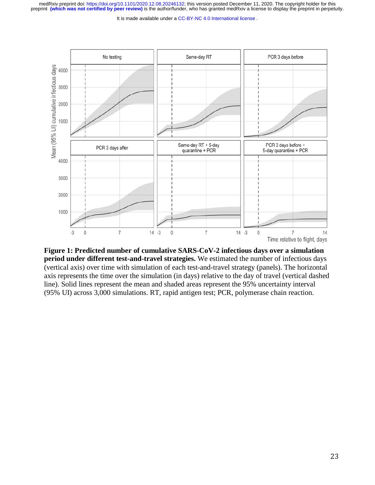It is made available under a [CC-BY-NC 4.0 International license](http://creativecommons.org/licenses/by-nc/4.0/) .



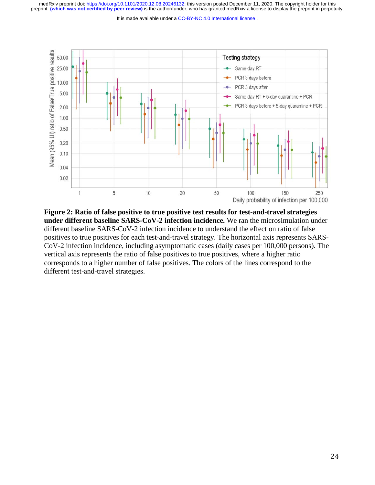It is made available under a [CC-BY-NC 4.0 International license](http://creativecommons.org/licenses/by-nc/4.0/) .



**Figure 2: Ratio of false positive to true positive test results for test-and-travel strategies under different baseline SARS-CoV-2 infection incidence.** We ran the microsimulation under different baseline SARS-CoV-2 infection incidence to understand the effect on ratio of false positives to true positives for each test-and-travel strategy. The horizontal axis represents SARS-CoV-2 infection incidence, including asymptomatic cases (daily cases per 100,000 persons). The vertical axis represents the ratio of false positives to true positives, where a higher ratio corresponds to a higher number of false positives. The colors of the lines correspond to the different test-and-travel strategies.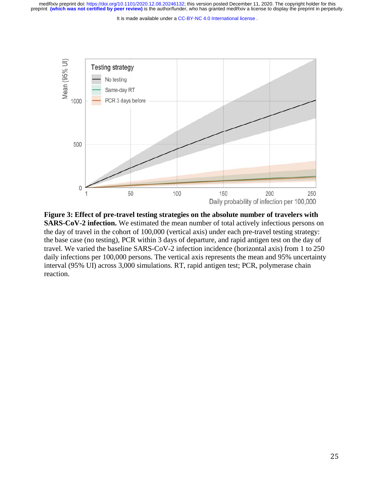It is made available under a [CC-BY-NC 4.0 International license](http://creativecommons.org/licenses/by-nc/4.0/) .



**Figure 3: Effect of pre-travel testing strategies on the absolute number of travelers with SARS-CoV-2 infection.** We estimated the mean number of total actively infectious persons on the day of travel in the cohort of 100,000 (vertical axis) under each pre-travel testing strategy: the base case (no testing), PCR within 3 days of departure, and rapid antigen test on the day of travel. We varied the baseline SARS-CoV-2 infection incidence (horizontal axis) from 1 to 250 daily infections per 100,000 persons. The vertical axis represents the mean and 95% uncertainty interval (95% UI) across 3,000 simulations. RT, rapid antigen test; PCR, polymerase chain reaction.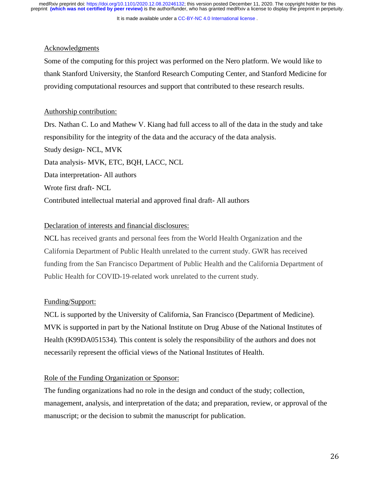It is made available under a [CC-BY-NC 4.0 International license](http://creativecommons.org/licenses/by-nc/4.0/) .

### Acknowledgments

Some of the computing for this project was performed on the Nero platform. We would like to thank Stanford University, the Stanford Research Computing Center, and Stanford Medicine for providing computational resources and support that contributed to these research results.

### Authorship contribution:

Drs. Nathan C. Lo and Mathew V. Kiang had full access to all of the data in the study and take responsibility for the integrity of the data and the accuracy of the data analysis. Study design- NCL, MVK Data analysis- MVK, ETC, BQH, LACC, NCL Data interpretation- All authors Wrote first draft- NCL Contributed intellectual material and approved final draft- All authors

### Declaration of interests and financial disclosures:

NCL has received grants and personal fees from the World Health Organization and the California Department of Public Health unrelated to the current study. GWR has received funding from the San Francisco Department of Public Health and the California Department of Public Health for COVID-19-related work unrelated to the current study.

### Funding/Support:

NCL is supported by the University of California, San Francisco (Department of Medicine). MVK is supported in part by the National Institute on Drug Abuse of the National Institutes of Health (K99DA051534). This content is solely the responsibility of the authors and does not necessarily represent the official views of the National Institutes of Health.

### Role of the Funding Organization or Sponsor:

The funding organizations had no role in the design and conduct of the study; collection, management, analysis, and interpretation of the data; and preparation, review, or approval of the manuscript; or the decision to submit the manuscript for publication.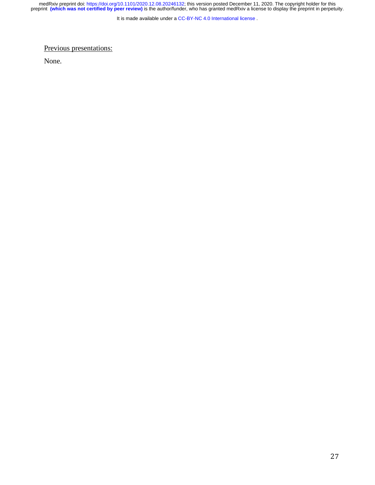It is made available under a [CC-BY-NC 4.0 International license](http://creativecommons.org/licenses/by-nc/4.0/) .

Previous presentations:

None.